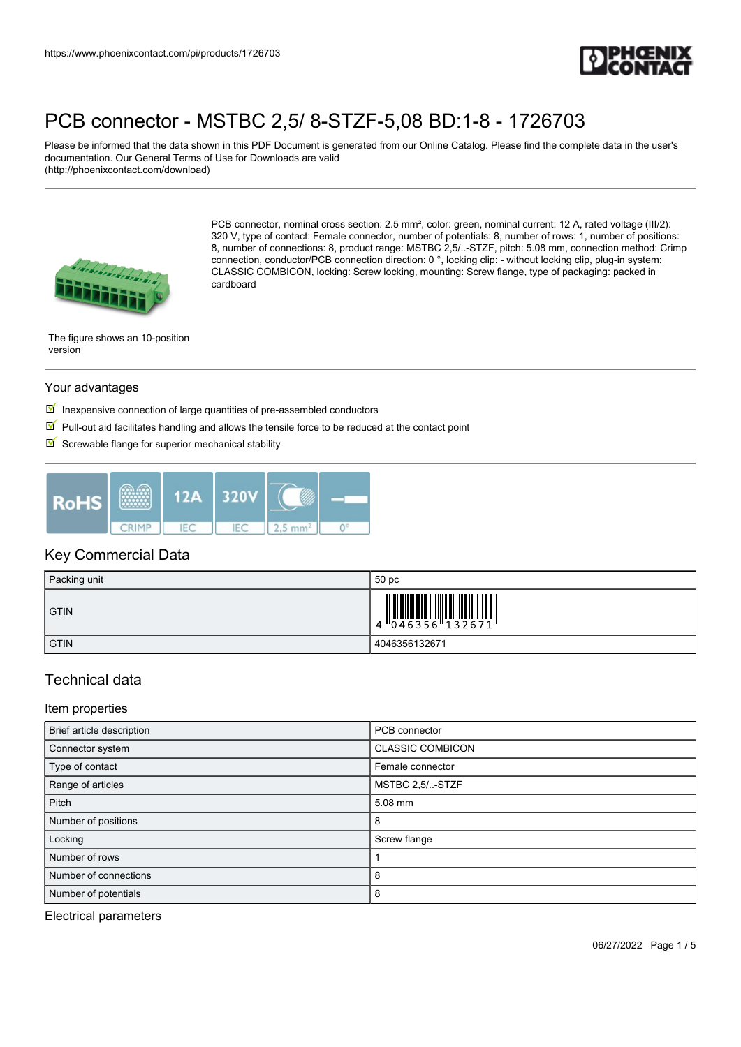

Please be informed that the data shown in this PDF Document is generated from our Online Catalog. Please find the complete data in the user's documentation. Our General Terms of Use for Downloads are valid (http://phoenixcontact.com/download)



PCB connector, nominal cross section: 2.5 mm², color: green, nominal current: 12 A, rated voltage (III/2): 320 V, type of contact: Female connector, number of potentials: 8, number of rows: 1, number of positions: 8, number of connections: 8, product range: MSTBC 2,5/..-STZF, pitch: 5.08 mm, connection method: Crimp connection, conductor/PCB connection direction: 0 °, locking clip: - without locking clip, plug-in system: CLASSIC COMBICON, locking: Screw locking, mounting: Screw flange, type of packaging: packed in cardboard

The figure shows an 10-position version

#### Your advantages

- $\blacksquare$  Inexpensive connection of large quantities of pre-assembled conductors
- $\Psi$  Pull-out aid facilitates handling and allows the tensile force to be reduced at the contact point
- $\blacksquare$  Screwable flange for superior mechanical stability



#### Key Commercial Data

| Packing unit | 50 pc           |
|--------------|-----------------|
| <b>GTIN</b>  | 4 046356 132671 |
| <b>GTIN</b>  | 4046356132671   |

### Technical data

Item properties

| Brief article description | PCB connector           |
|---------------------------|-------------------------|
| Connector system          | <b>CLASSIC COMBICON</b> |
| Type of contact           | Female connector        |
| Range of articles         | MSTBC 2,5/-STZF         |
| Pitch                     | 5.08 mm                 |
| Number of positions       | 8                       |
| Locking                   | Screw flange            |
| Number of rows            |                         |
| Number of connections     | 8                       |
| Number of potentials      | 8                       |

Electrical parameters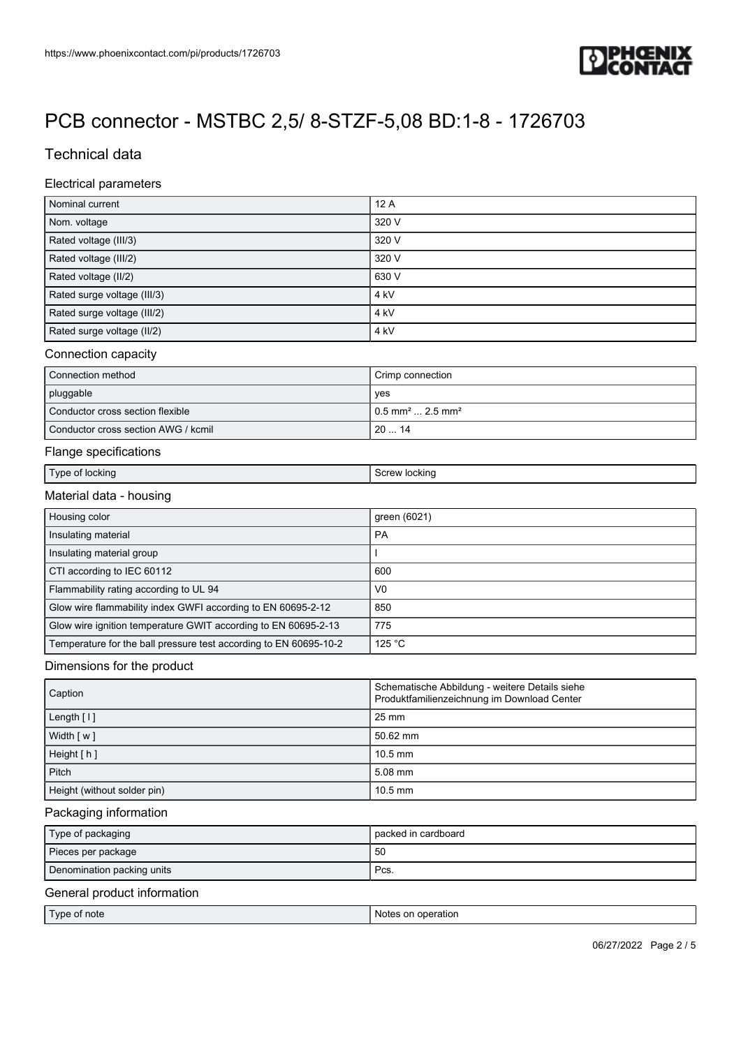

# Technical data

#### Electrical parameters

| Nominal current                                                   | 12A                                       |  |
|-------------------------------------------------------------------|-------------------------------------------|--|
| Nom. voltage                                                      | 320 V                                     |  |
| Rated voltage (III/3)                                             | 320 V                                     |  |
| Rated voltage (III/2)                                             | 320 V                                     |  |
| Rated voltage (II/2)                                              | 630 V                                     |  |
| Rated surge voltage (III/3)                                       | 4 <sub>kV</sub>                           |  |
| Rated surge voltage (III/2)                                       | 4 kV                                      |  |
| Rated surge voltage (II/2)                                        | 4 kV                                      |  |
| Connection capacity                                               |                                           |  |
| Connection method                                                 | Crimp connection                          |  |
| pluggable                                                         | yes                                       |  |
| Conductor cross section flexible                                  | $0.5$ mm <sup>2</sup> 2.5 mm <sup>2</sup> |  |
| Conductor cross section AWG / kcmil                               | 2014                                      |  |
| Flange specifications                                             |                                           |  |
| Type of locking                                                   | Screw locking                             |  |
| Material data - housing                                           |                                           |  |
| Housing color                                                     | green (6021)                              |  |
| Insulating material                                               | PA                                        |  |
| Insulating material group                                         |                                           |  |
| CTI according to IEC 60112                                        | 600                                       |  |
| Flammability rating according to UL 94                            | V <sub>0</sub>                            |  |
| Glow wire flammability index GWFI according to EN 60695-2-12      | 850                                       |  |
| Glow wire ignition temperature GWIT according to EN 60695-2-13    | 775                                       |  |
| Temperature for the ball pressure test according to EN 60695-10-2 | 125 °C                                    |  |

#### Dimensions for the product

| Caption                     | Schematische Abbildung - weitere Details siehe<br>Produktfamilienzeichnung im Download Center |
|-----------------------------|-----------------------------------------------------------------------------------------------|
| Length [1]                  | 25 mm                                                                                         |
| Width [w]                   | $50.62$ mm                                                                                    |
| Height [h]                  | $10.5$ mm                                                                                     |
| Pitch                       | $5.08$ mm                                                                                     |
| Height (without solder pin) | $10.5$ mm                                                                                     |

#### Packaging information

| Type of packaging                                | packed in cardboard |
|--------------------------------------------------|---------------------|
| Pieces per package                               | 50                  |
| Denomination packing units                       | Pcs.                |
| $\sim$ $\sim$ $\sim$ $\sim$ $\sim$ $\sim$ $\sim$ |                     |

### General product information

|--|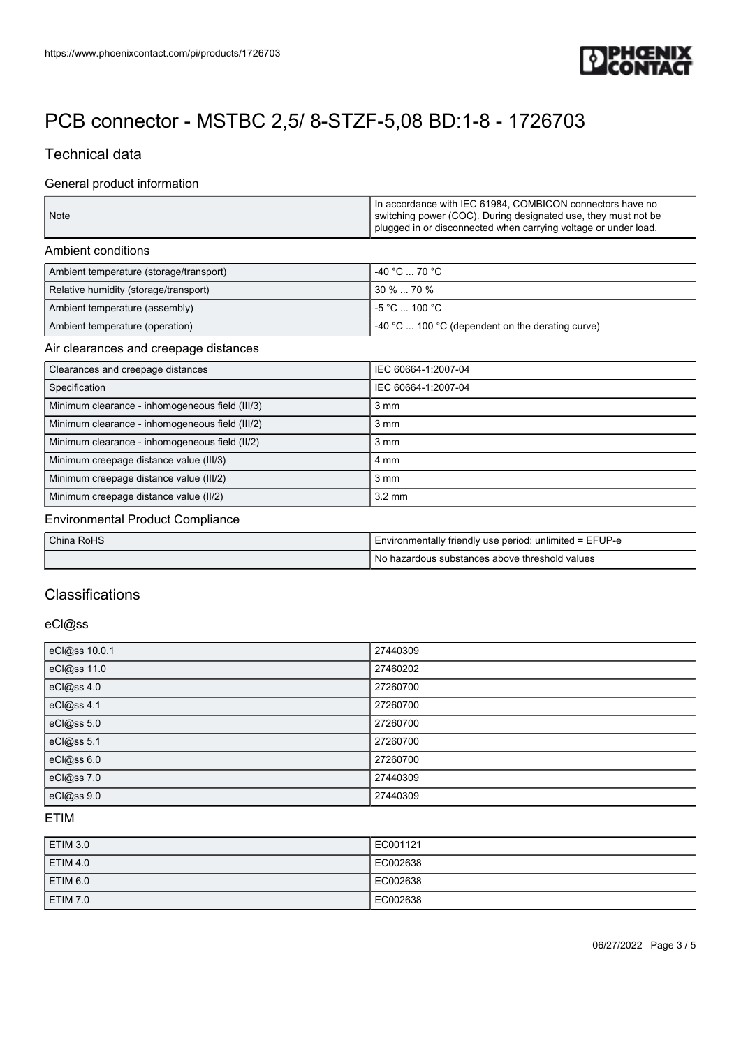

## Technical data

### General product information

| Note | In accordance with IEC 61984, COMBICON connectors have no<br>switching power (COC). During designated use, they must not be<br>plugged in or disconnected when carrying voltage or under load. |
|------|------------------------------------------------------------------------------------------------------------------------------------------------------------------------------------------------|
|      |                                                                                                                                                                                                |

#### Ambient conditions

| Ambient temperature (storage/transport) | $-40 °C  70 °C$                                                |
|-----------------------------------------|----------------------------------------------------------------|
| Relative humidity (storage/transport)   | $30\%$ 70 %                                                    |
| Ambient temperature (assembly)          | I -5 °C  100 °C .                                              |
| Ambient temperature (operation)         | $\sim$ 40 °C $\ldots$ 100 °C (dependent on the derating curve) |

#### Air clearances and creepage distances

| Clearances and creepage distances               | IEC 60664-1:2007-04 |
|-------------------------------------------------|---------------------|
| Specification                                   | IEC 60664-1:2007-04 |
| Minimum clearance - inhomogeneous field (III/3) | $3 \, \text{mm}$    |
| Minimum clearance - inhomogeneous field (III/2) | $3 \, \text{mm}$    |
| Minimum clearance - inhomogeneous field (II/2)  | $3 \, \text{mm}$    |
| Minimum creepage distance value (III/3)         | 4 mm                |
| Minimum creepage distance value (III/2)         | $3 \, \text{mm}$    |
| Minimum creepage distance value (II/2)          | $3.2 \text{ mm}$    |

#### Environmental Product Compliance

| China RoHS | I Environmentally friendly use period: unlimited = EFUP-e |
|------------|-----------------------------------------------------------|
|            | l No hazardous substances above threshold values          |

# **Classifications**

#### eCl@ss

| eCl@ss 10.0.1 | 27440309 |
|---------------|----------|
| eCl@ss 11.0   | 27460202 |
| eCl@ss 4.0    | 27260700 |
| eCl@ss 4.1    | 27260700 |
| eCl@ss 5.0    | 27260700 |
| eCl@ss 5.1    | 27260700 |
| eCl@ss 6.0    | 27260700 |
| eCl@ss 7.0    | 27440309 |
| eCl@ss 9.0    | 27440309 |

### ETIM

| ETIM 3.0        | EC001121 |
|-----------------|----------|
| ETIM 4.0        | EC002638 |
| ETIM 6.0        | EC002638 |
| <b>ETIM 7.0</b> | EC002638 |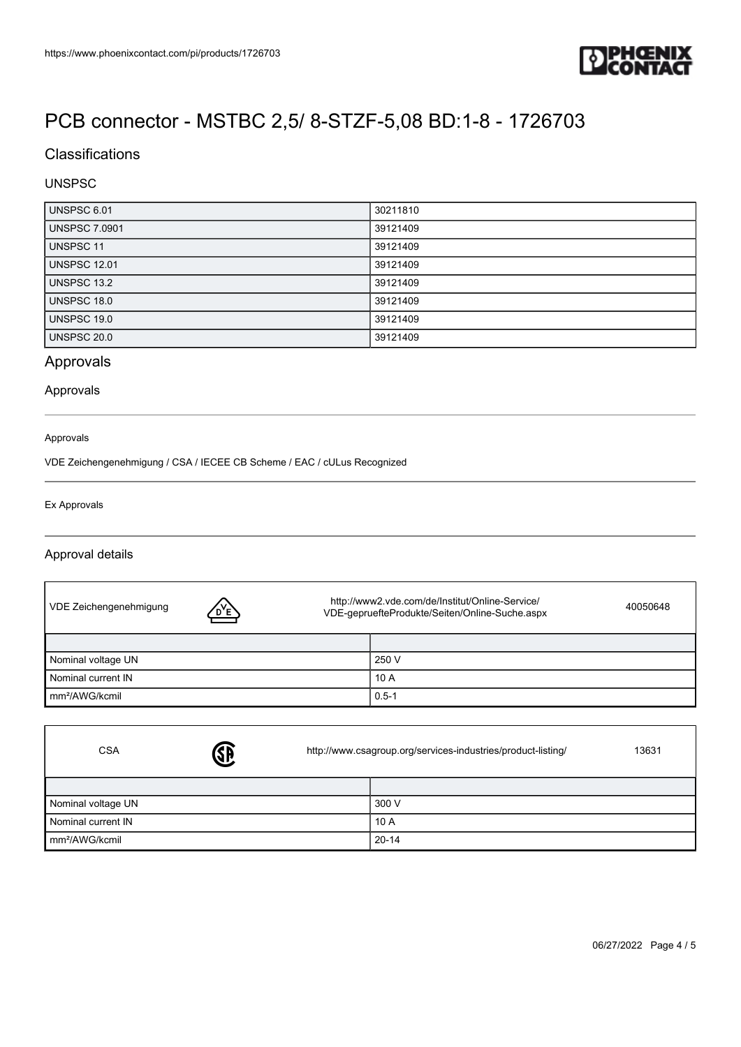

## **Classifications**

### UNSPSC

| UNSPSC 6.01          | 30211810 |
|----------------------|----------|
| <b>UNSPSC 7.0901</b> | 39121409 |
| UNSPSC 11            | 39121409 |
| <b>UNSPSC 12.01</b>  | 39121409 |
| UNSPSC 13.2          | 39121409 |
| <b>UNSPSC 18.0</b>   | 39121409 |
| UNSPSC 19.0          | 39121409 |
| UNSPSC 20.0          | 39121409 |

# Approvals

#### Approvals

#### Approvals

VDE Zeichengenehmigung / CSA / IECEE CB Scheme / EAC / cULus Recognized

#### Ex Approvals

#### Approval details

| VDE Zeichengenehmigung     | D,E, | http://www2.vde.com/de/Institut/Online-Service/<br>VDE-gepruefteProdukte/Seiten/Online-Suche.aspx |           | 40050648 |
|----------------------------|------|---------------------------------------------------------------------------------------------------|-----------|----------|
|                            |      |                                                                                                   |           |          |
| Nominal voltage UN         |      |                                                                                                   | 250 V     |          |
| Nominal current IN         |      |                                                                                                   | 10A       |          |
| mm <sup>2</sup> /AWG/kcmil |      |                                                                                                   | $0.5 - 1$ |          |

| <b>CSA</b>                 | <b>SB</b> | http://www.csagroup.org/services-industries/product-listing/<br>13631 |           |  |
|----------------------------|-----------|-----------------------------------------------------------------------|-----------|--|
|                            |           |                                                                       |           |  |
| Nominal voltage UN         |           |                                                                       | 300 V     |  |
| Nominal current IN         |           |                                                                       | 10A       |  |
| mm <sup>2</sup> /AWG/kcmil |           |                                                                       | $20 - 14$ |  |